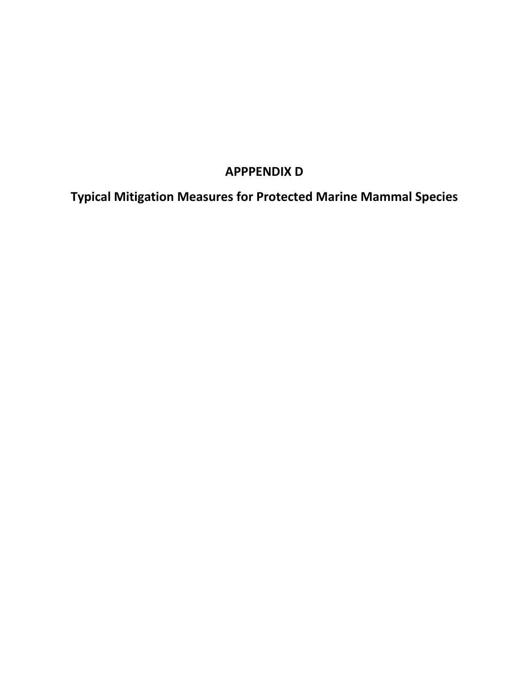# **APPPENDIX D**

**Typical Mitigation Measures for Protected Marine Mammal Species**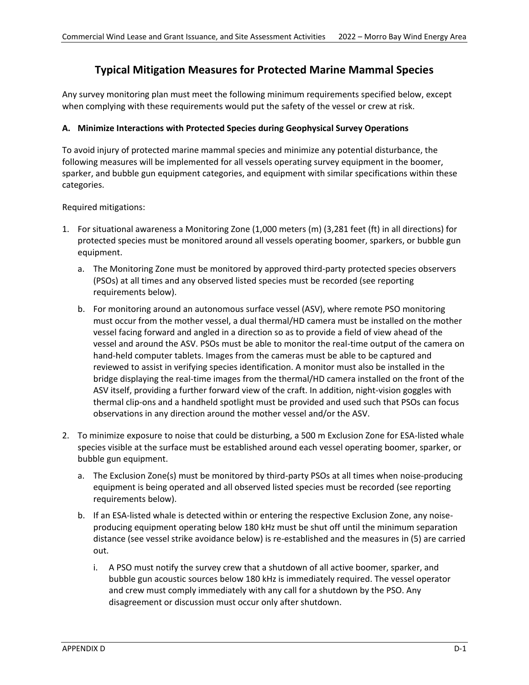## **Typical Mitigation Measures for Protected Marine Mammal Species**

Any survey monitoring plan must meet the following minimum requirements specified below, except when complying with these requirements would put the safety of the vessel or crew at risk.

#### **A. Minimize Interactions with Protected Species during Geophysical Survey Operations**

To avoid injury of protected marine mammal species and minimize any potential disturbance, the following measures will be implemented for all vessels operating survey equipment in the boomer, sparker, and bubble gun equipment categories, and equipment with similar specifications within these categories.

Required mitigations:

- 1. For situational awareness a Monitoring Zone (1,000 meters (m) (3,281 feet (ft) in all directions) for protected species must be monitored around all vessels operating boomer, sparkers, or bubble gun equipment.
	- a. The Monitoring Zone must be monitored by approved third-party protected species observers (PSOs) at all times and any observed listed species must be recorded (see reporting requirements below).
	- b. For monitoring around an autonomous surface vessel (ASV), where remote PSO monitoring must occur from the mother vessel, a dual thermal/HD camera must be installed on the mother vessel facing forward and angled in a direction so as to provide a field of view ahead of the vessel and around the ASV. PSOs must be able to monitor the real-time output of the camera on hand-held computer tablets. Images from the cameras must be able to be captured and reviewed to assist in verifying species identification. A monitor must also be installed in the bridge displaying the real-time images from the thermal/HD camera installed on the front of the ASV itself, providing a further forward view of the craft. In addition, night-vision goggles with thermal clip-ons and a handheld spotlight must be provided and used such that PSOs can focus observations in any direction around the mother vessel and/or the ASV.
- 2. To minimize exposure to noise that could be disturbing, a 500 m Exclusion Zone for ESA-listed whale species visible at the surface must be established around each vessel operating boomer, sparker, or bubble gun equipment.
	- a. The Exclusion Zone(s) must be monitored by third-party PSOs at all times when noise-producing equipment is being operated and all observed listed species must be recorded (see reporting requirements below).
	- b. If an ESA-listed whale is detected within or entering the respective Exclusion Zone, any noiseproducing equipment operating below 180 kHz must be shut off until the minimum separation distance (see vessel strike avoidance below) is re-established and the measures in (5) are carried out.
		- i. A PSO must notify the survey crew that a shutdown of all active boomer, sparker, and bubble gun acoustic sources below 180 kHz is immediately required. The vessel operator and crew must comply immediately with any call for a shutdown by the PSO. Any disagreement or discussion must occur only after shutdown.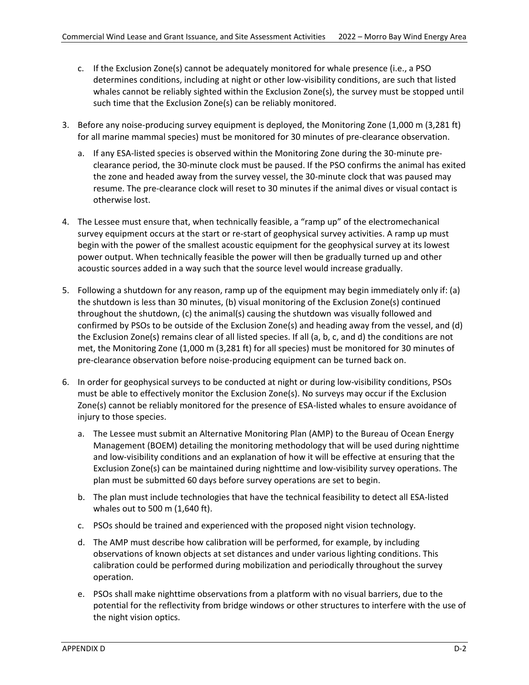- c. If the Exclusion Zone(s) cannot be adequately monitored for whale presence (i.e., a PSO determines conditions, including at night or other low-visibility conditions, are such that listed whales cannot be reliably sighted within the Exclusion Zone(s), the survey must be stopped until such time that the Exclusion Zone(s) can be reliably monitored.
- 3. Before any noise-producing survey equipment is deployed, the Monitoring Zone (1,000 m (3,281 ft) for all marine mammal species) must be monitored for 30 minutes of pre-clearance observation.
	- a. If any ESA-listed species is observed within the Monitoring Zone during the 30-minute preclearance period, the 30-minute clock must be paused. If the PSO confirms the animal has exited the zone and headed away from the survey vessel, the 30-minute clock that was paused may resume. The pre-clearance clock will reset to 30 minutes if the animal dives or visual contact is otherwise lost.
- 4. The Lessee must ensure that, when technically feasible, a "ramp up" of the electromechanical survey equipment occurs at the start or re-start of geophysical survey activities. A ramp up must begin with the power of the smallest acoustic equipment for the geophysical survey at its lowest power output. When technically feasible the power will then be gradually turned up and other acoustic sources added in a way such that the source level would increase gradually.
- 5. Following a shutdown for any reason, ramp up of the equipment may begin immediately only if: (a) the shutdown is less than 30 minutes, (b) visual monitoring of the Exclusion Zone(s) continued throughout the shutdown, (c) the animal(s) causing the shutdown was visually followed and confirmed by PSOs to be outside of the Exclusion Zone(s) and heading away from the vessel, and (d) the Exclusion Zone(s) remains clear of all listed species. If all (a, b, c, and d) the conditions are not met, the Monitoring Zone (1,000 m (3,281 ft) for all species) must be monitored for 30 minutes of pre-clearance observation before noise-producing equipment can be turned back on.
- 6. In order for geophysical surveys to be conducted at night or during low-visibility conditions, PSOs must be able to effectively monitor the Exclusion Zone(s). No surveys may occur if the Exclusion Zone(s) cannot be reliably monitored for the presence of ESA-listed whales to ensure avoidance of injury to those species.
	- a. The Lessee must submit an Alternative Monitoring Plan (AMP) to the Bureau of Ocean Energy Management (BOEM) detailing the monitoring methodology that will be used during nighttime and low-visibility conditions and an explanation of how it will be effective at ensuring that the Exclusion Zone(s) can be maintained during nighttime and low-visibility survey operations. The plan must be submitted 60 days before survey operations are set to begin.
	- b. The plan must include technologies that have the technical feasibility to detect all ESA-listed whales out to 500 m (1,640 ft).
	- c. PSOs should be trained and experienced with the proposed night vision technology.
	- d. The AMP must describe how calibration will be performed, for example, by including observations of known objects at set distances and under various lighting conditions. This calibration could be performed during mobilization and periodically throughout the survey operation.
	- e. PSOs shall make nighttime observations from a platform with no visual barriers, due to the potential for the reflectivity from bridge windows or other structures to interfere with the use of the night vision optics.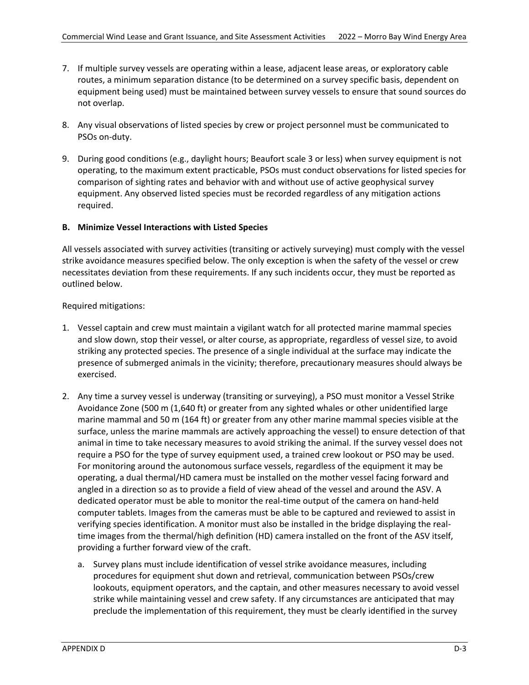- 7. If multiple survey vessels are operating within a lease, adjacent lease areas, or exploratory cable routes, a minimum separation distance (to be determined on a survey specific basis, dependent on equipment being used) must be maintained between survey vessels to ensure that sound sources do not overlap.
- 8. Any visual observations of listed species by crew or project personnel must be communicated to PSOs on-duty.
- 9. During good conditions (e.g., daylight hours; Beaufort scale 3 or less) when survey equipment is not operating, to the maximum extent practicable, PSOs must conduct observations for listed species for comparison of sighting rates and behavior with and without use of active geophysical survey equipment. Any observed listed species must be recorded regardless of any mitigation actions required.

#### **B. Minimize Vessel Interactions with Listed Species**

All vessels associated with survey activities (transiting or actively surveying) must comply with the vessel strike avoidance measures specified below. The only exception is when the safety of the vessel or crew necessitates deviation from these requirements. If any such incidents occur, they must be reported as outlined below.

#### Required mitigations:

- 1. Vessel captain and crew must maintain a vigilant watch for all protected marine mammal species and slow down, stop their vessel, or alter course, as appropriate, regardless of vessel size, to avoid striking any protected species. The presence of a single individual at the surface may indicate the presence of submerged animals in the vicinity; therefore, precautionary measures should always be exercised.
- 2. Any time a survey vessel is underway (transiting or surveying), a PSO must monitor a Vessel Strike Avoidance Zone (500 m (1,640 ft) or greater from any sighted whales or other unidentified large marine mammal and 50 m (164 ft) or greater from any other marine mammal species visible at the surface, unless the marine mammals are actively approaching the vessel) to ensure detection of that animal in time to take necessary measures to avoid striking the animal. If the survey vessel does not require a PSO for the type of survey equipment used, a trained crew lookout or PSO may be used. For monitoring around the autonomous surface vessels, regardless of the equipment it may be operating, a dual thermal/HD camera must be installed on the mother vessel facing forward and angled in a direction so as to provide a field of view ahead of the vessel and around the ASV. A dedicated operator must be able to monitor the real-time output of the camera on hand-held computer tablets. Images from the cameras must be able to be captured and reviewed to assist in verifying species identification. A monitor must also be installed in the bridge displaying the realtime images from the thermal/high definition (HD) camera installed on the front of the ASV itself, providing a further forward view of the craft.
	- a. Survey plans must include identification of vessel strike avoidance measures, including procedures for equipment shut down and retrieval, communication between PSOs/crew lookouts, equipment operators, and the captain, and other measures necessary to avoid vessel strike while maintaining vessel and crew safety. If any circumstances are anticipated that may preclude the implementation of this requirement, they must be clearly identified in the survey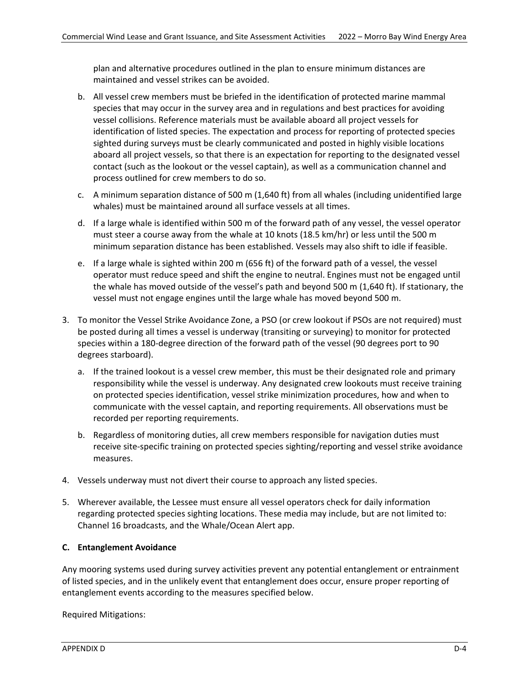plan and alternative procedures outlined in the plan to ensure minimum distances are maintained and vessel strikes can be avoided.

- b. All vessel crew members must be briefed in the identification of protected marine mammal species that may occur in the survey area and in regulations and best practices for avoiding vessel collisions. Reference materials must be available aboard all project vessels for identification of listed species. The expectation and process for reporting of protected species sighted during surveys must be clearly communicated and posted in highly visible locations aboard all project vessels, so that there is an expectation for reporting to the designated vessel contact (such as the lookout or the vessel captain), as well as a communication channel and process outlined for crew members to do so.
- c. A minimum separation distance of 500 m (1,640 ft) from all whales (including unidentified large whales) must be maintained around all surface vessels at all times.
- d. If a large whale is identified within 500 m of the forward path of any vessel, the vessel operator must steer a course away from the whale at 10 knots (18.5 km/hr) or less until the 500 m minimum separation distance has been established. Vessels may also shift to idle if feasible.
- e. If a large whale is sighted within 200 m (656 ft) of the forward path of a vessel, the vessel operator must reduce speed and shift the engine to neutral. Engines must not be engaged until the whale has moved outside of the vessel's path and beyond 500 m (1,640 ft). If stationary, the vessel must not engage engines until the large whale has moved beyond 500 m.
- 3. To monitor the Vessel Strike Avoidance Zone, a PSO (or crew lookout if PSOs are not required) must be posted during all times a vessel is underway (transiting or surveying) to monitor for protected species within a 180-degree direction of the forward path of the vessel (90 degrees port to 90 degrees starboard).
	- a. If the trained lookout is a vessel crew member, this must be their designated role and primary responsibility while the vessel is underway. Any designated crew lookouts must receive training on protected species identification, vessel strike minimization procedures, how and when to communicate with the vessel captain, and reporting requirements. All observations must be recorded per reporting requirements.
	- b. Regardless of monitoring duties, all crew members responsible for navigation duties must receive site-specific training on protected species sighting/reporting and vessel strike avoidance measures.
- 4. Vessels underway must not divert their course to approach any listed species.
- 5. Wherever available, the Lessee must ensure all vessel operators check for daily information regarding protected species sighting locations. These media may include, but are not limited to: Channel 16 broadcasts, and the Whale/Ocean Alert app.

#### **C. Entanglement Avoidance**

Any mooring systems used during survey activities prevent any potential entanglement or entrainment of listed species, and in the unlikely event that entanglement does occur, ensure proper reporting of entanglement events according to the measures specified below.

Required Mitigations: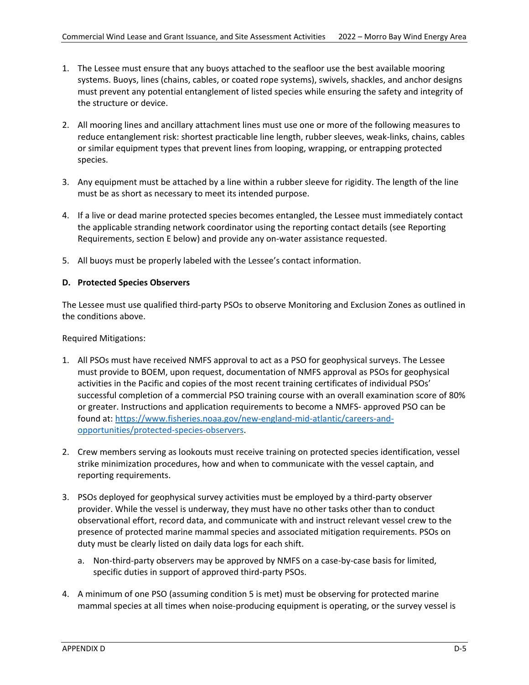- 1. The Lessee must ensure that any buoys attached to the seafloor use the best available mooring systems. Buoys, lines (chains, cables, or coated rope systems), swivels, shackles, and anchor designs must prevent any potential entanglement of listed species while ensuring the safety and integrity of the structure or device.
- 2. All mooring lines and ancillary attachment lines must use one or more of the following measures to reduce entanglement risk: shortest practicable line length, rubber sleeves, weak-links, chains, cables or similar equipment types that prevent lines from looping, wrapping, or entrapping protected species.
- 3. Any equipment must be attached by a line within a rubber sleeve for rigidity. The length of the line must be as short as necessary to meet its intended purpose.
- 4. If a live or dead marine protected species becomes entangled, the Lessee must immediately contact the applicable stranding network coordinator using the reporting contact details (see Reporting Requirements, section E below) and provide any on-water assistance requested.
- 5. All buoys must be properly labeled with the Lessee's contact information.

#### **D. Protected Species Observers**

The Lessee must use qualified third-party PSOs to observe Monitoring and Exclusion Zones as outlined in the conditions above.

Required Mitigations:

- 1. All PSOs must have received NMFS approval to act as a PSO for geophysical surveys. The Lessee must provide to BOEM, upon request, documentation of NMFS approval as PSOs for geophysical activities in the Pacific and copies of the most recent training certificates of individual PSOs' successful completion of a commercial PSO training course with an overall examination score of 80% or greater. Instructions and application requirements to become a NMFS- approved PSO can be found at: [https://www.fisheries.noaa.gov/new-england-mid-atlantic/careers-and](https://www.fisheries.noaa.gov/new-england-mid-atlantic/careers-and-opportunities/protected-species-observers)[opportunities/protected-species-observers.](https://www.fisheries.noaa.gov/new-england-mid-atlantic/careers-and-opportunities/protected-species-observers)
- 2. Crew members serving as lookouts must receive training on protected species identification, vessel strike minimization procedures, how and when to communicate with the vessel captain, and reporting requirements.
- 3. PSOs deployed for geophysical survey activities must be employed by a third-party observer provider. While the vessel is underway, they must have no other tasks other than to conduct observational effort, record data, and communicate with and instruct relevant vessel crew to the presence of protected marine mammal species and associated mitigation requirements. PSOs on duty must be clearly listed on daily data logs for each shift.
	- a. Non-third-party observers may be approved by NMFS on a case-by-case basis for limited, specific duties in support of approved third-party PSOs.
- 4. A minimum of one PSO (assuming condition 5 is met) must be observing for protected marine mammal species at all times when noise-producing equipment is operating, or the survey vessel is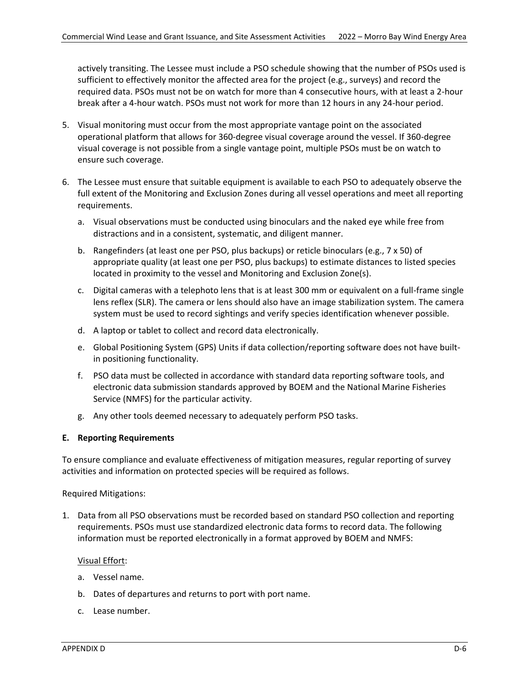actively transiting. The Lessee must include a PSO schedule showing that the number of PSOs used is sufficient to effectively monitor the affected area for the project (e.g., surveys) and record the required data. PSOs must not be on watch for more than 4 consecutive hours, with at least a 2-hour break after a 4-hour watch. PSOs must not work for more than 12 hours in any 24-hour period.

- 5. Visual monitoring must occur from the most appropriate vantage point on the associated operational platform that allows for 360-degree visual coverage around the vessel. If 360-degree visual coverage is not possible from a single vantage point, multiple PSOs must be on watch to ensure such coverage.
- 6. The Lessee must ensure that suitable equipment is available to each PSO to adequately observe the full extent of the Monitoring and Exclusion Zones during all vessel operations and meet all reporting requirements.
	- a. Visual observations must be conducted using binoculars and the naked eye while free from distractions and in a consistent, systematic, and diligent manner.
	- b. Rangefinders (at least one per PSO, plus backups) or reticle binoculars (e.g., 7 x 50) of appropriate quality (at least one per PSO, plus backups) to estimate distances to listed species located in proximity to the vessel and Monitoring and Exclusion Zone(s).
	- c. Digital cameras with a telephoto lens that is at least 300 mm or equivalent on a full-frame single lens reflex (SLR). The camera or lens should also have an image stabilization system. The camera system must be used to record sightings and verify species identification whenever possible.
	- d. A laptop or tablet to collect and record data electronically.
	- e. Global Positioning System (GPS) Units if data collection/reporting software does not have builtin positioning functionality.
	- f. PSO data must be collected in accordance with standard data reporting software tools, and electronic data submission standards approved by BOEM and the National Marine Fisheries Service (NMFS) for the particular activity.
	- g. Any other tools deemed necessary to adequately perform PSO tasks.

### **E. Reporting Requirements**

To ensure compliance and evaluate effectiveness of mitigation measures, regular reporting of survey activities and information on protected species will be required as follows.

Required Mitigations:

1. Data from all PSO observations must be recorded based on standard PSO collection and reporting requirements. PSOs must use standardized electronic data forms to record data. The following information must be reported electronically in a format approved by BOEM and NMFS:

#### Visual Effort:

- a. Vessel name.
- b. Dates of departures and returns to port with port name.
- c. Lease number.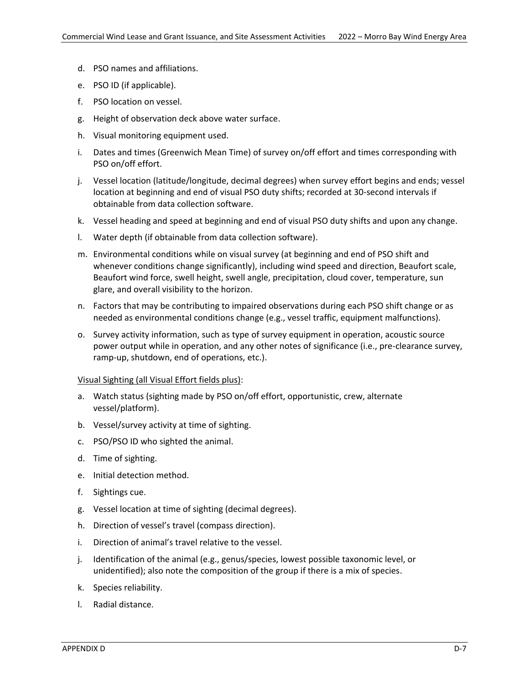- d. PSO names and affiliations.
- e. PSO ID (if applicable).
- f. PSO location on vessel.
- g. Height of observation deck above water surface.
- h. Visual monitoring equipment used.
- i. Dates and times (Greenwich Mean Time) of survey on/off effort and times corresponding with PSO on/off effort.
- j. Vessel location (latitude/longitude, decimal degrees) when survey effort begins and ends; vessel location at beginning and end of visual PSO duty shifts; recorded at 30-second intervals if obtainable from data collection software.
- k. Vessel heading and speed at beginning and end of visual PSO duty shifts and upon any change.
- l. Water depth (if obtainable from data collection software).
- m. Environmental conditions while on visual survey (at beginning and end of PSO shift and whenever conditions change significantly), including wind speed and direction, Beaufort scale, Beaufort wind force, swell height, swell angle, precipitation, cloud cover, temperature, sun glare, and overall visibility to the horizon.
- n. Factors that may be contributing to impaired observations during each PSO shift change or as needed as environmental conditions change (e.g., vessel traffic, equipment malfunctions).
- o. Survey activity information, such as type of survey equipment in operation, acoustic source power output while in operation, and any other notes of significance (i.e., pre-clearance survey, ramp-up, shutdown, end of operations, etc.).

#### Visual Sighting (all Visual Effort fields plus):

- a. Watch status (sighting made by PSO on/off effort, opportunistic, crew, alternate vessel/platform).
- b. Vessel/survey activity at time of sighting.
- c. PSO/PSO ID who sighted the animal.
- d. Time of sighting.
- e. Initial detection method.
- f. Sightings cue.
- g. Vessel location at time of sighting (decimal degrees).
- h. Direction of vessel's travel (compass direction).
- i. Direction of animal's travel relative to the vessel.
- j. Identification of the animal (e.g., genus/species, lowest possible taxonomic level, or unidentified); also note the composition of the group if there is a mix of species.
- k. Species reliability.
- l. Radial distance.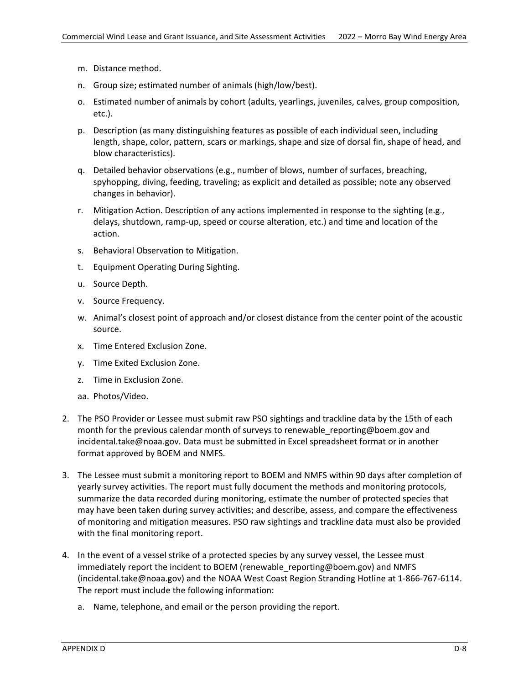- m. Distance method.
- n. Group size; estimated number of animals (high/low/best).
- o. Estimated number of animals by cohort (adults, yearlings, juveniles, calves, group composition, etc.).
- p. Description (as many distinguishing features as possible of each individual seen, including length, shape, color, pattern, scars or markings, shape and size of dorsal fin, shape of head, and blow characteristics).
- q. Detailed behavior observations (e.g., number of blows, number of surfaces, breaching, spyhopping, diving, feeding, traveling; as explicit and detailed as possible; note any observed changes in behavior).
- r. Mitigation Action. Description of any actions implemented in response to the sighting (e.g., delays, shutdown, ramp-up, speed or course alteration, etc.) and time and location of the action.
- s. Behavioral Observation to Mitigation.
- t. Equipment Operating During Sighting.
- u. Source Depth.
- v. Source Frequency.
- w. Animal's closest point of approach and/or closest distance from the center point of the acoustic source.
- x. Time Entered Exclusion Zone.
- y. Time Exited Exclusion Zone.
- z. Time in Exclusion Zone.
- aa. Photos/Video.
- 2. The PSO Provider or Lessee must submit raw PSO sightings and trackline data by the 15th of each month for the previous calendar month of surveys to renewable reporting@boem.gov and incidental.take@noaa.gov. Data must be submitted in Excel spreadsheet format or in another format approved by BOEM and NMFS.
- 3. The Lessee must submit a monitoring report to BOEM and NMFS within 90 days after completion of yearly survey activities. The report must fully document the methods and monitoring protocols, summarize the data recorded during monitoring, estimate the number of protected species that may have been taken during survey activities; and describe, assess, and compare the effectiveness of monitoring and mitigation measures. PSO raw sightings and trackline data must also be provided with the final monitoring report.
- 4. In the event of a vessel strike of a protected species by any survey vessel, the Lessee must immediately report the incident to BOEM (renewable reporting@boem.gov) and NMFS (incidental.take@noaa.gov) and the NOAA West Coast Region Stranding Hotline at 1-866-767-6114. The report must include the following information:
	- a. Name, telephone, and email or the person providing the report.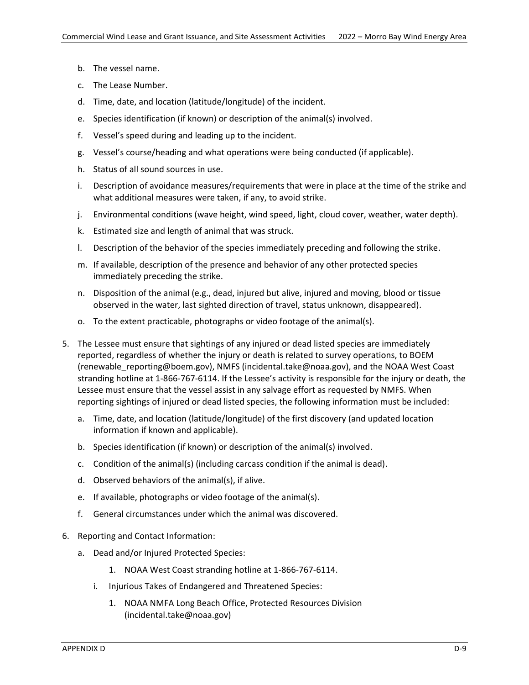- b. The vessel name.
- c. The Lease Number.
- d. Time, date, and location (latitude/longitude) of the incident.
- e. Species identification (if known) or description of the animal(s) involved.
- f. Vessel's speed during and leading up to the incident.
- g. Vessel's course/heading and what operations were being conducted (if applicable).
- h. Status of all sound sources in use.
- i. Description of avoidance measures/requirements that were in place at the time of the strike and what additional measures were taken, if any, to avoid strike.
- j. Environmental conditions (wave height, wind speed, light, cloud cover, weather, water depth).
- k. Estimated size and length of animal that was struck.
- l. Description of the behavior of the species immediately preceding and following the strike.
- m. If available, description of the presence and behavior of any other protected species immediately preceding the strike.
- n. Disposition of the animal (e.g., dead, injured but alive, injured and moving, blood or tissue observed in the water, last sighted direction of travel, status unknown, disappeared).
- o. To the extent practicable, photographs or video footage of the animal(s).
- 5. The Lessee must ensure that sightings of any injured or dead listed species are immediately reported, regardless of whether the injury or death is related to survey operations, to BOEM (renewable\_reporting@boem.gov), NMFS (incidental.take@noaa.gov), and the NOAA West Coast stranding hotline at 1-866-767-6114. If the Lessee's activity is responsible for the injury or death, the Lessee must ensure that the vessel assist in any salvage effort as requested by NMFS. When reporting sightings of injured or dead listed species, the following information must be included:
	- a. Time, date, and location (latitude/longitude) of the first discovery (and updated location information if known and applicable).
	- b. Species identification (if known) or description of the animal(s) involved.
	- c. Condition of the animal(s) (including carcass condition if the animal is dead).
	- d. Observed behaviors of the animal(s), if alive.
	- e. If available, photographs or video footage of the animal(s).
	- f. General circumstances under which the animal was discovered.
- 6. Reporting and Contact Information:
	- a. Dead and/or Injured Protected Species:
		- 1. NOAA West Coast stranding hotline at 1-866-767-6114.
		- i. Injurious Takes of Endangered and Threatened Species:
			- 1. NOAA NMFA Long Beach Office, Protected Resources Division (incidental.take@noaa.gov)